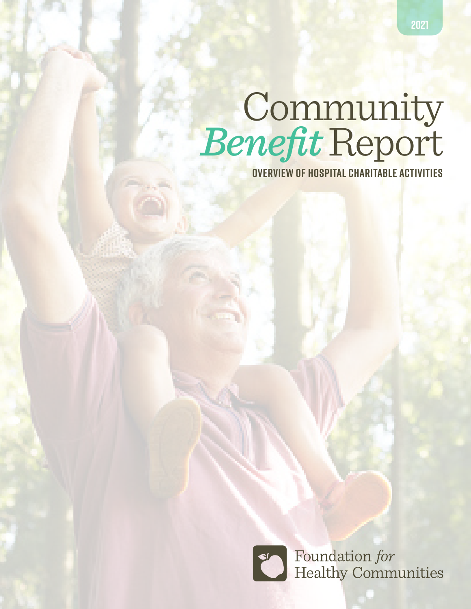# Community *Benefit* Report

 **OVERVIEW OF HOSPITAL CHARITABLE ACTIVITIES**

Foundation for<br>Healthy Communities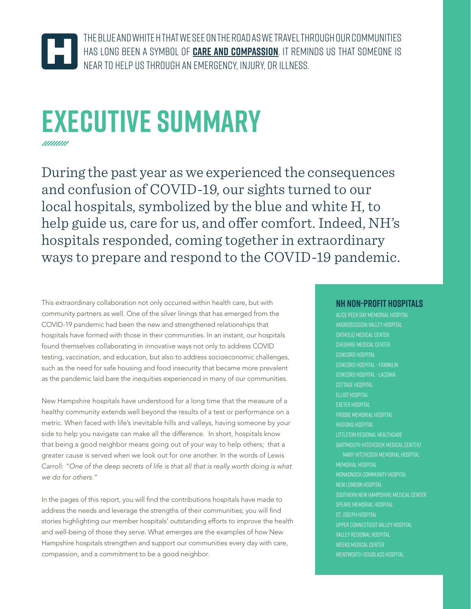

The blue and white H that we see on the road as we travel through our communities has long been a symbol of **care and compassion**. It reminds us that someone is near to help us through an emergency, injury, or illness.

### **EXECUTIVE SUMMARY** *mmm*

During the past year as we experienced the consequences and confusion of COVID-19, our sights turned to our local hospitals, symbolized by the blue and white H, to help guide us, care for us, and offer comfort. Indeed, NH's hospitals responded, coming together in extraordinary ways to prepare and respond to the COVID-19 pandemic.

This extraordinary collaboration not only occurred within health care, but with community partners as well. One of the silver linings that has emerged from the COVID-19 pandemic had been the new and strengthened relationships that hospitals have formed with those in their communities. In an instant, our hospitals found themselves collaborating in innovative ways not only to address COVID testing, vaccination, and education, but also to address socioeconomic challenges, such as the need for safe housing and food insecurity that became more prevalent as the pandemic laid bare the inequities experienced in many of our communities.

New Hampshire hospitals have understood for a long time that the measure of a healthy community extends well beyond the results of a test or performance on a metric. When faced with life's inevitable hills and valleys, having someone by your side to help you navigate can make all the difference. In short, hospitals know that being a good neighbor means going out of your way to help others; that a greater cause is served when we look out for one another. In the words of Lewis Carroll: *"One of the deep secrets of life is that all that is really worth doing is what we do for others."*

In the pages of this report, you will find the contributions hospitals have made to address the needs and leverage the strengths of their communities; you will find stories highlighting our member hospitals' outstanding efforts to improve the health and well-being of those they serve. What emerges are the examples of how New Hampshire hospitals strengthen and support our communities every day with care, compassion, and a commitment to be a good neighbor.

#### **NH Non-Profit Hospitals**

Alice Peck Day Memorial Hospital Androscoggin Valley Hospital Catholic Medical Center Cheshire Medical Center Concord Hospital Concord Hospital - Franklin Concord Hospital - Laconia COTTAGE HOSPITAL Elliot Hospital Exeter Hospital Frisbie Memorial Hospital Huggins Hospital Littleton Regional Healthcare Dartmouth-Hitchcock Medical Center/ Mary Hitchcock Memorial Hospital Memorial Hospital Monadnock Community Hospital New London Hospital Southern New Hampshire Medical Center Speare Memorial Hospital St. Joseph Hospital Upper Connecticut Valley Hospital Valley Regional hospital WEEKS MEDICAL CENTER Wentworth-Douglass Hospital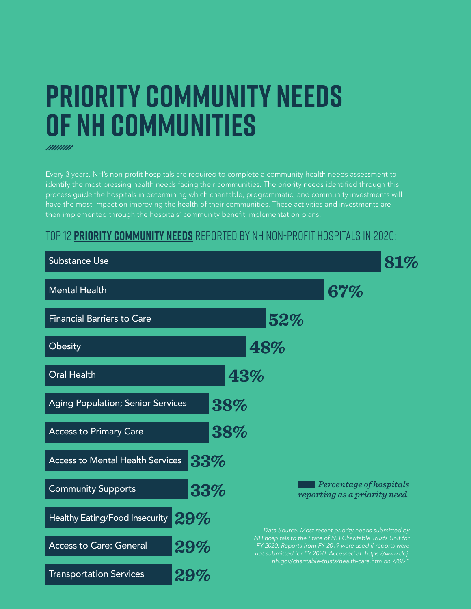### **PRIORITY COMMUNITY NEEDS OF NH COMMUNITIES**

Every 3 years, NH's non-profit hospitals are required to complete a community health needs assessment to identify the most pressing health needs facing their communities. The priority needs identified through this process guide the hospitals in determining which charitable, programmatic, and community investments will have the most impact on improving the health of their communities. These activities and investments are then implemented through the hospitals' community benefit implementation plans.

### Top 12 **Priority Community Needs** reported by NH Non-Profit Hospitals in 2020:

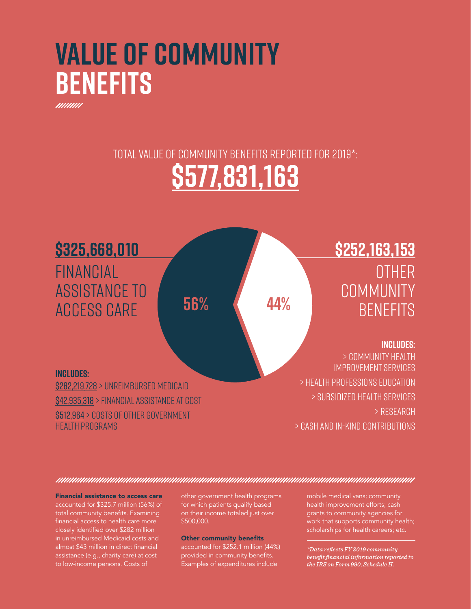### **VALUE OF COMMUNITY BENEFITS**

total value of community benefits reported for 2019\*:

### **\$577,831,163**



Financial assistance to access care accounted for \$325.7 million (56%) of total community benefits. Examining financial access to health care more closely identified over \$282 million in unreimbursed Medicaid costs and almost \$43 million in direct financial assistance (e.g., charity care) at cost to low-income persons. Costs of

other government health programs for which patients qualify based on their income totaled just over \$500,000.

#### Other community benefits

accounted for \$252.1 million (44%) provided in community benefits. .<br>Examples of expenditures include

mobile medical vans; community health improvement efforts; cash grants to community agencies for work that supports community health; scholarships for health careers; etc.

*\*Data reflects FY 2019 community benefit financial information reported to the IRS on Form 990, Schedule H.*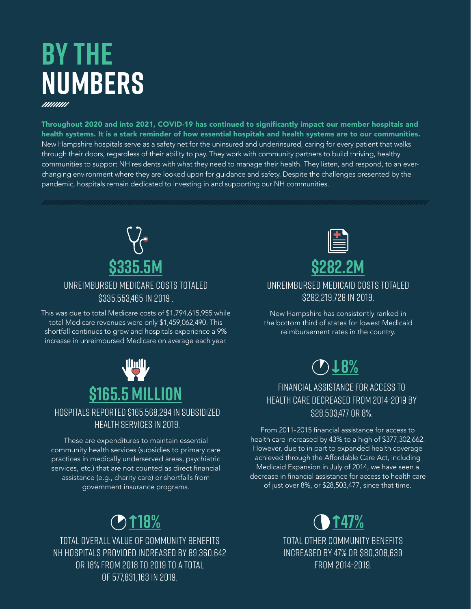### **BY THE NUMBERS**

Throughout 2020 and into 2021, COVID-19 has continued to significantly impact our member hospitals and health systems. It is a stark reminder of how essential hospitals and health systems are to our communities. New Hampshire hospitals serve as a safety net for the uninsured and underinsured, caring for every patient that walks through their doors, regardless of their ability to pay. They work with community partners to build thriving, healthy communities to support NH residents with what they need to manage their health. They listen, and respond, to an everchanging environment where they are looked upon for guidance and safety. Despite the challenges presented by the pandemic, hospitals remain dedicated to investing in and supporting our NH communities.



#### Unreimbursed Medicare costs totaled \$335,553,465 in 2019 .

This was due to total Medicare costs of \$1,794,615,955 while total Medicare revenues were only \$1,459,062,490. This shortfall continues to grow and hospitals experience a 9% increase in unreimbursed Medicare on average each year.



### Hospitals reported \$165,568,294 in subsidized health services in 2019.

These are expenditures to maintain essential community health services (subsidies to primary care practices in medically underserved areas, psychiatric services, etc.) that are not counted as direct financial assistance (e.g., charity care) or shortfalls from government insurance programs.

Total overall value of community benefits NH hospitals provided increased by 89,360,642 or 18% from 2018 to 2019 to a total of 577,831,163 in 2019.



Unreimbursed Medicaid costs totaled \$282,219,728 in 2019.

New Hampshire has consistently ranked in the bottom third of states for lowest Medicaid reimbursement rates in the country.



### Financial assistance for access to health care decreased from 2014-2019 by \$28,503,477 or 8%.

From 2011-2015 financial assistance for access to health care increased by 43% to a high of \$377,302,662. However, due to in part to expanded health coverage achieved through the Affordable Care Act, including Medicaid Expansion in July of 2014, we have seen a decrease in financial assistance for access to health care of just over 8%, or \$28,503,477, since that time.



Total other community benefits increased by 47% or \$80,308,639 from 2014-2019.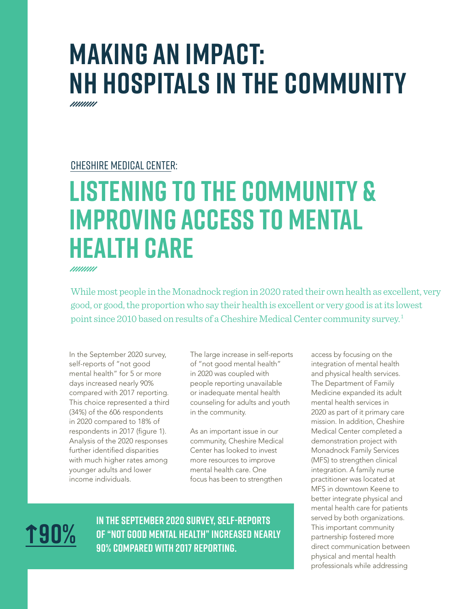## **MAKING AN IMPACT: NH HOSPITALS IN THE COMMUNITY**

### Cheshire medical center:

### **Listening to the Community & Improving Access to Mental Health Care**

While most people in the Monadnock region in 2020 rated their own health as excellent, very good, or good, the proportion who say their health is excellent or very good is at its lowest point since 2010 based on results of a Cheshire Medical Center community survey.<sup>1</sup>

In the September 2020 survey, self-reports of "not good mental health" for 5 or more days increased nearly 90% compared with 2017 reporting. This choice represented a third (34%) of the 606 respondents in 2020 compared to 18% of respondents in 2017 (figure 1). Analysis of the 2020 responses further identified disparities with much higher rates among younger adults and lower income individuals.

The large increase in self-reports of "not good mental health" in 2020 was coupled with people reporting unavailable or inadequate mental health counseling for adults and youth in the community.

As an important issue in our community, Cheshire Medical Center has looked to invest more resources to improve mental health care. One focus has been to strengthen

 **90%**

**In the September 2020 survey, self-reports of "not good mental health" increased nearly 90% compared with 2017 reporting.** 

access by focusing on the integration of mental health and physical health services. The Department of Family Medicine expanded its adult mental health services in 2020 as part of it primary care mission. In addition, Cheshire Medical Center completed a demonstration project with Monadnock Family Services (MFS) to strengthen clinical integration. A family nurse practitioner was located at MFS in downtown Keene to better integrate physical and mental health care for patients served by both organizations. This important community partnership fostered more direct communication between physical and mental health professionals while addressing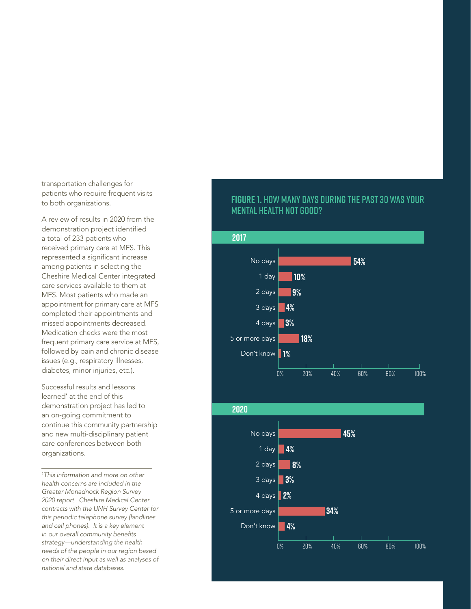transportation challenges for patients who require frequent visits to both organizations.

A review of results in 2020 from the demonstration project identified a total of 233 patients who received primary care at MFS. This represented a significant increase among patients in selecting the Cheshire Medical Center integrated care services available to them at MFS. Most patients who made an appointment for primary care at MFS completed their appointments and missed appointments decreased. Medication checks were the most frequent primary care service at MFS, followed by pain and chronic disease issues (e.g., respiratory illnesses, diabetes, minor injuries, etc.).

Successful results and lessons learned' at the end of this demonstration project has led to an on-going commitment to continue this community partnership and new multi-disciplinary patient care conferences between both organizations.

*1 This information and more on other health concerns are included in the Greater Monadnock Region Survey 2020 report. Cheshire Medical Center contracts with the UNH Survey Center for this periodic telephone survey (landlines and cell phones). It is a key element*  in our overall community benefits *strategy—understanding the health needs of the people in our region based on their direct input as well as analyses of national and state databases.*

#### **Figure 1.** How many days during the past 30 was your mental health not good?

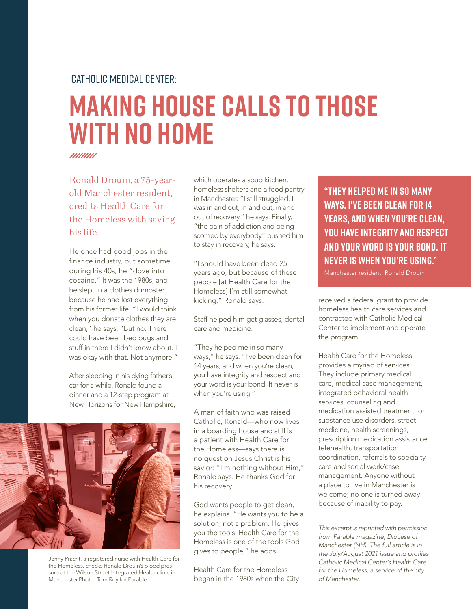### catholic medical center:

### **Making House Calls to Those with no Home**

mmm

Ronald Drouin, a 75-yearold Manchester resident, credits Health Care for the Homeless with saving his life.

He once had good jobs in the finance industry, but sometime during his 40s, he "dove into cocaine." It was the 1980s, and he slept in a clothes dumpster because he had lost everything from his former life. "I would think when you donate clothes they are clean," he says. "But no. There could have been bed bugs and stuff in there I didn't know about. I was okay with that. Not anymore."

After sleeping in his dying father's car for a while, Ronald found a dinner and a 12-step program at New Horizons for New Hampshire,

Jenny Pracht, a registered nurse with Health Care for the Homeless, checks Ronald Drouin's blood pressure at the Wilson Street Integrated Health clinic in Manchester.Photo: Tom Roy for Parable

which operates a soup kitchen, homeless shelters and a food pantry in Manchester. "I still struggled. I was in and out, in and out, in and out of recovery," he says. Finally, "the pain of addiction and being scorned by everybody" pushed him to stay in recovery, he says.

"I should have been dead 25 years ago, but because of these people [at Health Care for the Homeless] I'm still somewhat kicking," Ronald says.

Staff helped him get glasses, dental care and medicine.

"They helped me in so many ways," he says. "I've been clean for 14 years, and when you're clean, you have integrity and respect and your word is your bond. It never is when you're using."

A man of faith who was raised Catholic, Ronald—who now lives in a boarding house and still is a patient with Health Care for the Homeless—says there is no question Jesus Christ is his savior: "I'm nothing without Him," Ronald says. He thanks God for his recovery.

God wants people to get clean, he explains. "He wants you to be a solution, not a problem. He gives you the tools. Health Care for the Homeless is one of the tools God gives to people," he adds.

Health Care for the Homeless began in the 1980s when the City

**"They helped me in so many ways. I've been clean for 14 years, and when you're clean, you have integrity and respect and your word is your bond. It never is when you're using."** 

Manchester resident, Ronald Drouin

received a federal grant to provide homeless health care services and contracted with Catholic Medical Center to implement and operate the program.

Health Care for the Homeless provides a myriad of services. They include primary medical care, medical case management, integrated behavioral health services, counseling and medication assisted treatment for substance use disorders, street medicine, health screenings, prescription medication assistance, telehealth, transportation coordination, referrals to specialty care and social work/case management. Anyone without a place to live in Manchester is welcome; no one is turned away because of inability to pay.

*This excerpt is reprinted with permission from Parable magazine, Diocese of Manchester (NH). The full article is in*  the July/August 2021 issue and profiles *Catholic Medical Center's Health Care for the Homeless, a service of the city of Manchester.*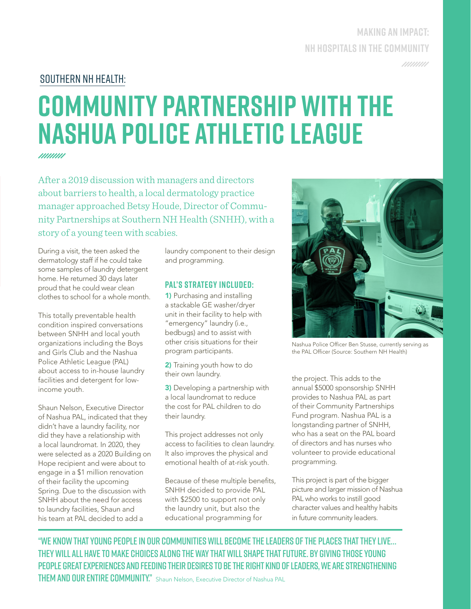### **MAKING AN IMPACT: NH HOSPITALS IN THE COMMUNITY**

/////////

### southern nh health:

### **Community Partnership with the Nashua Police Athletic League**

*mmm* 

After a 2019 discussion with managers and directors about barriers to health, a local dermatology practice manager approached Betsy Houde, Director of Community Partnerships at Southern NH Health (SNHH), with a story of a young teen with scabies.

During a visit, the teen asked the dermatology staff if he could take some samples of laundry detergent home. He returned 30 days later proud that he could wear clean clothes to school for a whole month.

This totally preventable health condition inspired conversations between SNHH and local youth organizations including the Boys and Girls Club and the Nashua Police Athletic League (PAL) about access to in-house laundry facilities and detergent for lowincome youth.

Shaun Nelson, Executive Director of Nashua PAL, indicated that they didn't have a laundry facility, nor did they have a relationship with a local laundromat. In 2020, they were selected as a 2020 Building on Hope recipient and were about to engage in a \$1 million renovation of their facility the upcoming Spring. Due to the discussion with SNHH about the need for access to laundry facilities, Shaun and his team at PAL decided to add a

laundry component to their design and programming.

#### **pal's strategy included:**

1) Purchasing and installing a stackable GE washer/dryer unit in their facility to help with "emergency" laundry (i.e., bedbugs) and to assist with other crisis situations for their program participants.

2) Training youth how to do their own laundry.

**3)** Developing a partnership with a local laundromat to reduce the cost for PAL children to do their laundry.

This project addresses not only access to facilities to clean laundry. It also improves the physical and emotional health of at-risk youth.

Because of these multiple benefits, SNHH decided to provide PAL with \$2500 to support not only the laundry unit, but also the educational programming for



Nashua Police Officer Ben Stusse, currently serving as the PAL Officer (Source: Southern NH Health)

the project. This adds to the annual \$5000 sponsorship SNHH provides to Nashua PAL as part of their Community Partnerships Fund program. Nashua PAL is a longstanding partner of SNHH, who has a seat on the PAL board of directors and has nurses who volunteer to provide educational programming.

This project is part of the bigger picture and larger mission of Nashua PAL who works to instill good character values and healthy habits in future community leaders.

"We know that young people in our communities will become the leaders of the places that they live… they will all have to make choices along the way that will shape that future. By giving those young people great experiences and feeding their desires to be the right kind of leaders, we are strengthening **THEM AND OUR ENTIRE COMMUNITY."** Shaun Nelson, Executive Director of Nashua PAL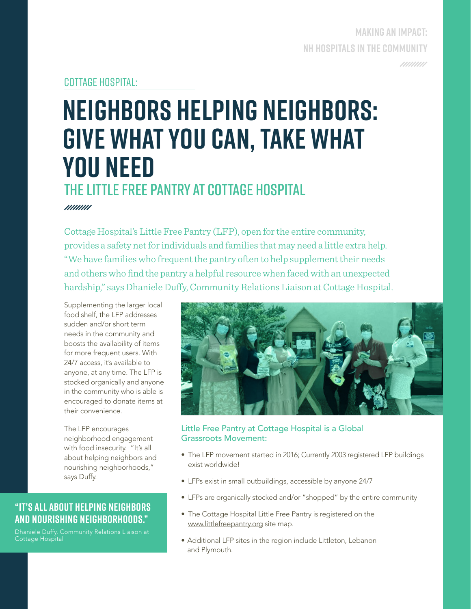### **MAKING AN IMPACT: NH HOSPITALS IN THE COMMUNITY** /////////

### COTTAGE hospital:

### **Neighbors Helping Neighbors: Give what you can, take what you need** THE LITTLE FREE PANTRY AT COTTAGE HOSPITAL

*mmm* 

Cottage Hospital's Little Free Pantry (LFP), open for the entire community, provides a safety net for individuals and families that may need a little extra help. "We have families who frequent the pantry often to help supplement their needs and others who find the pantry a helpful resource when faced with an unexpected hardship," says Dhaniele Duffy, Community Relations Liaison at Cottage Hospital.

Supplementing the larger local food shelf, the LFP addresses sudden and/or short term needs in the community and boosts the availability of items for more frequent users. With 24/7 access, it's available to anyone, at any time. The LFP is stocked organically and anyone in the community who is able is encouraged to donate items at their convenience.

The LFP encourages neighborhood engagement with food insecurity. "It's all about helping neighbors and nourishing neighborhoods," says Duffy.

### **"It's all about helping neighbors and nourishing neighborhoods."**

Dhaniele Duffy, Community Relations Liaison at Cottage Hospital



#### Little Free Pantry at Cottage Hospital is a Global Grassroots Movement:

- The LFP movement started in 2016; Currently 2003 registered LFP buildings exist worldwide!
- LFPs exist in small outbuildings, accessible by anyone 24/7
- LFPs are organically stocked and/or "shopped" by the entire community
- The Cottage Hospital Little Free Pantry is registered on the www.littlefreepantry.org site map.
- Additional LFP sites in the region include Littleton, Lebanon and Plymouth.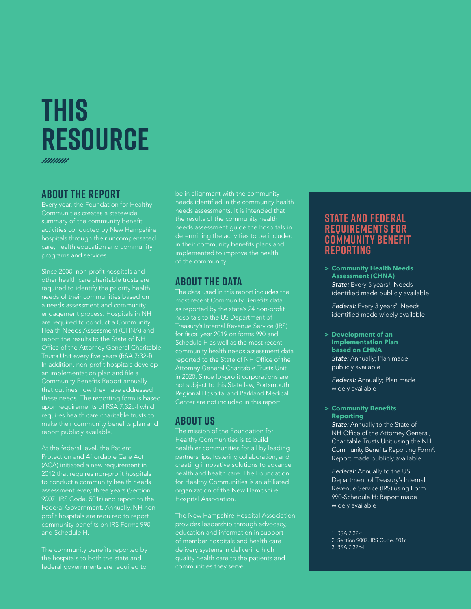### **THIS RESOURCE**

#### **About the report**

Every year, the Foundation for Healthy Communities creates a statewide summary of the community benefit activities conducted by New Hampshire hospitals through their uncompensated care, health education and community programs and services.

Since 2000, non-profit hospitals and other health care charitable trusts are required to identify the priority health needs of their communities based on a needs assessment and community engagement process. Hospitals in NH are required to conduct a Community Health Needs Assessment (CHNA) and report the results to the State of NH Office of the Attorney General Charitable Trusts Unit every five years (RSA 7:32-f). In addition, non-profit hospitals develop an implementation plan and file a Community Benefits Report annually that outlines how they have addressed these needs. The reporting form is based upon requirements of RSA 7:32c-l which requires health care charitable trusts to make their community benefits plan and report publicly available.

At the federal level, the Patient Protection and Affordable Care Act (ACA) initiated a new requirement in 2012 that requires non-profit hospitals to conduct a community health needs assessment every three years (Section 9007. IRS Code, 501r) and report to the Federal Government. Annually, NH nonprofit hospitals are required to report community benefits on IRS Forms 990 and Schedule H.

The community benefits reported by the hospitals to both the state and federal governments are required to

be in alignment with the community needs identified in the community health needs assessments. It is intended that the results of the community health needs assessment guide the hospitals in determining the activities to be included in their community benefits plans and implemented to improve the health of the community.

### **About the Data**

The data used in this report includes the most recent Community Benefits data as reported by the state's 24 non-profit hospitals to the US Department of Treasury's Internal Revenue Service (IRS) for fiscal year 2019 on forms 990 and Schedule H as well as the most recent community health needs assessment data reported to the State of NH Office of the Attorney General Charitable Trusts Unit in 2020. Since for-profit corporations are not subject to this State law, Portsmouth Regional Hospital and Parkland Medical Center are not included in this report.

### **About us**

The mission of the Foundation for healthier communities for all by leading partnerships, fostering collaboration, and creating innovative solutions to advance health and health care. The Foundation for Healthy Communities is an affiliated organization of the New Hampshire Hospital Association.

The New Hampshire Hospital Association provides leadership through advocacy, education and information in support of member hospitals and health care delivery systems in delivering high quality health care to the patients and communities they serve.

### **State and Federal Requirements for Community Benefit Reporting**

**> Community Health Needs Assessment (CHNA)** State: Every 5 years<sup>1</sup>; Needs identified made publicly available

**Federal:** Every 3 years<sup>2</sup>; Needs identified made widely available

**> Development of an Implementation Plan based on CHNA** *State:* Annually; Plan made publicly available

*Federal:* Annually; Plan made widely available

#### **> Community Benefits Reporting** *State:* Annually to the State of

NH Office of the Attorney General, Charitable Trusts Unit using the NH Community Benefits Reporting Form<sup>3</sup>; Report made publicly available

*Federal:* Annually to the US Department of Treasury's Internal Revenue Service (IRS) using Form 990-Schedule H; Report made widely available

1. RSA 7:32-f

<sup>2.</sup> Section 9007. IRS Code, 501r 3. RSA 7:32c-l